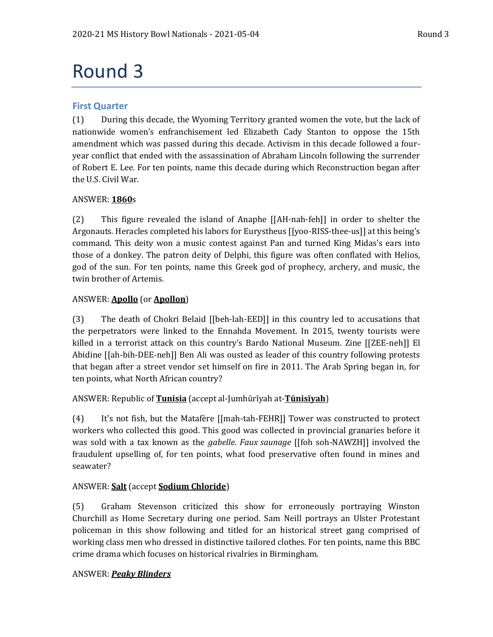# Round 3

### **First Quarter**

(1) During this decade, the Wyoming Territory granted women the vote, but the lack of nationwide women's enfranchisement led Elizabeth Cady Stanton to oppose the 15th amendment which was passed during this decade. Activism in this decade followed a fouryear conflict that ended with the assassination of Abraham Lincoln following the surrender of Robert E. Lee. For ten points, name this decade during which Reconstruction began after the U.S. Civil War.

#### ANSWER: **1860**s

(2) This figure revealed the island of Anaphe [[AH-nah-feh]] in order to shelter the Argonauts. Heracles completed his labors for Eurystheus [[yoo-RISS-thee-us]] at this being's command. This deity won a music contest against Pan and turned King Midas's ears into those of a donkey. The patron deity of Delphi, this figure was often conflated with Helios, god of the sun. For ten points, name this Greek god of prophecy, archery, and music, the twin brother of Artemis.

#### ANSWER: **Apollo** (or **Apollon**)

(3) The death of Chokri Belaid [[beh-lah-EED]] in this country led to accusations that the perpetrators were linked to the Ennahda Movement. In 2015, twenty tourists were killed in a terrorist attack on this country's Bardo National Museum. Zine [[ZEE-neh]] El Abidine [[ah-bih-DEE-neh]] Ben Ali was ousted as leader of this country following protests that began after a street vendor set himself on fire in 2011. The Arab Spring began in, for ten points, what North African country?

ANSWER: Republic of **Tunisia** (accept al-Jumhūrīyah at-**Tūnisīyah**)

(4) It's not fish, but the Matafère [[mah-tah-FEHR]] Tower was constructed to protect workers who collected this good. This good was collected in provincial granaries before it was sold with a tax known as the *gabelle*. *Faux saunage* [[foh soh-NAWZH]] involved the fraudulent upselling of, for ten points, what food preservative often found in mines and seawater?

#### ANSWER: **Salt** (accept **Sodium Chloride**)

(5) Graham Stevenson criticized this show for erroneously portraying Winston Churchill as Home Secretary during one period. Sam Neill portrays an Ulster Protestant policeman in this show following and titled for an historical street gang comprised of working class men who dressed in distinctive tailored clothes. For ten points, name this BBC crime drama which focuses on historical rivalries in Birmingham.

#### ANSWER: *Peaky Blinders*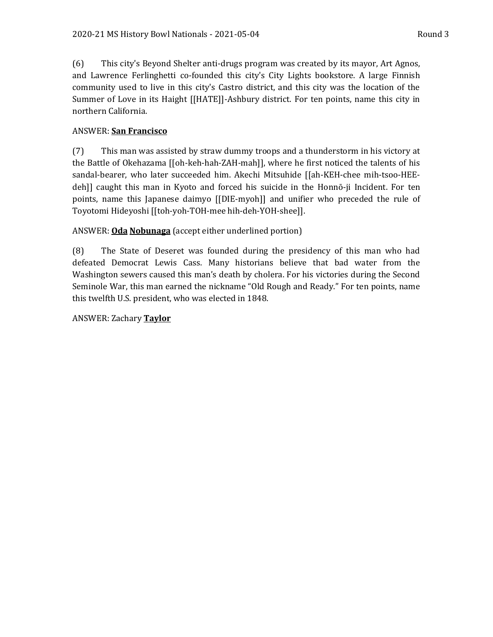(6) This city's Beyond Shelter anti-drugs program was created by its mayor, Art Agnos, and Lawrence Ferlinghetti co-founded this city's City Lights bookstore. A large Finnish community used to live in this city's Castro district, and this city was the location of the Summer of Love in its Haight [[HATE]]-Ashbury district. For ten points, name this city in northern California.

#### ANSWER: **San Francisco**

(7) This man was assisted by straw dummy troops and a thunderstorm in his victory at the Battle of Okehazama [[oh-keh-hah-ZAH-mah]], where he first noticed the talents of his sandal-bearer, who later succeeded him. Akechi Mitsuhide [[ah-KEH-chee mih-tsoo-HEEdeh]] caught this man in Kyoto and forced his suicide in the Honnō-ji Incident. For ten points, name this Japanese daimyo [[DIE-myoh]] and unifier who preceded the rule of Toyotomi Hideyoshi [[toh-yoh-TOH-mee hih-deh-YOH-shee]].

ANSWER: **Oda Nobunaga** (accept either underlined portion)

(8) The State of Deseret was founded during the presidency of this man who had defeated Democrat Lewis Cass. Many historians believe that bad water from the Washington sewers caused this man's death by cholera. For his victories during the Second Seminole War, this man earned the nickname "Old Rough and Ready." For ten points, name this twelfth U.S. president, who was elected in 1848.

ANSWER: Zachary **Taylor**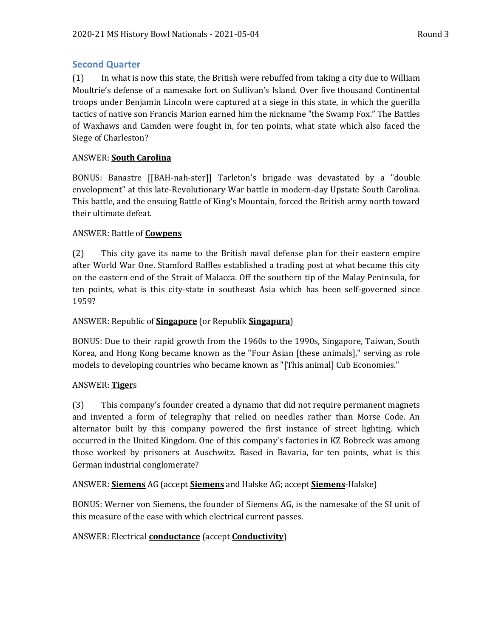#### **Second Quarter**

(1) In what is now this state, the British were rebuffed from taking a city due to William Moultrie's defense of a namesake fort on Sullivan's Island. Over five thousand Continental troops under Benjamin Lincoln were captured at a siege in this state, in which the guerilla tactics of native son Francis Marion earned him the nickname "the Swamp Fox." The Battles of Waxhaws and Camden were fought in, for ten points, what state which also faced the Siege of Charleston?

#### ANSWER: **South Carolina**

BONUS: Banastre [[BAH-nah-ster]] Tarleton's brigade was devastated by a "double envelopment" at this late-Revolutionary War battle in modern-day Upstate South Carolina. This battle, and the ensuing Battle of King's Mountain, forced the British army north toward their ultimate defeat.

#### ANSWER: Battle of **Cowpens**

(2) This city gave its name to the British naval defense plan for their eastern empire after World War One. Stamford Raffles established a trading post at what became this city on the eastern end of the Strait of Malacca. Off the southern tip of the Malay Peninsula, for ten points, what is this city-state in southeast Asia which has been self-governed since 1959?

#### ANSWER: Republic of **Singapore** (or Republik **Singapura**)

BONUS: Due to their rapid growth from the 1960s to the 1990s, Singapore, Taiwan, South Korea, and Hong Kong became known as the "Four Asian [these animals]," serving as role models to developing countries who became known as "[This animal] Cub Economies."

#### ANSWER: **Tiger**s

(3) This company's founder created a dynamo that did not require permanent magnets and invented a form of telegraphy that relied on needles rather than Morse Code. An alternator built by this company powered the first instance of street lighting, which occurred in the United Kingdom. One of this company's factories in KZ Bobreck was among those worked by prisoners at Auschwitz. Based in Bavaria, for ten points, what is this German industrial conglomerate?

#### ANSWER: **Siemens** AG (accept **Siemens** and Halske AG; accept **Siemens**-Halske)

BONUS: Werner von Siemens, the founder of Siemens AG, is the namesake of the SI unit of this measure of the ease with which electrical current passes.

#### ANSWER: Electrical **conductance** (accept **Conductivity**)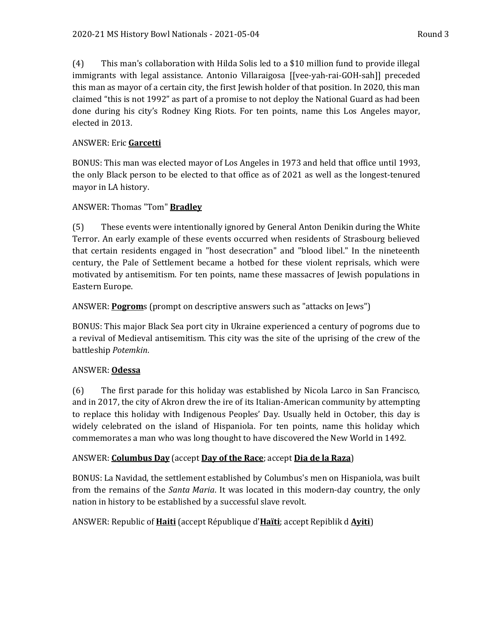(4) This man's collaboration with Hilda Solis led to a \$10 million fund to provide illegal immigrants with legal assistance. Antonio Villaraigosa [[vee-yah-rai-GOH-sah]] preceded this man as mayor of a certain city, the first Jewish holder of that position. In 2020, this man claimed "this is not 1992" as part of a promise to not deploy the National Guard as had been done during his city's Rodney King Riots. For ten points, name this Los Angeles mayor, elected in 2013.

#### ANSWER: Eric **Garcetti**

BONUS: This man was elected mayor of Los Angeles in 1973 and held that office until 1993, the only Black person to be elected to that office as of 2021 as well as the longest-tenured mayor in LA history.

#### ANSWER: Thomas "Tom" **Bradley**

(5) These events were intentionally ignored by General Anton Denikin during the White Terror. An early example of these events occurred when residents of Strasbourg believed that certain residents engaged in "host desecration" and "blood libel." In the nineteenth century, the Pale of Settlement became a hotbed for these violent reprisals, which were motivated by antisemitism. For ten points, name these massacres of Jewish populations in Eastern Europe.

#### ANSWER: **Pogrom**s (prompt on descriptive answers such as "attacks on Jews")

BONUS: This major Black Sea port city in Ukraine experienced a century of pogroms due to a revival of Medieval antisemitism. This city was the site of the uprising of the crew of the battleship *Potemkin*.

#### ANSWER: **Odessa**

(6) The first parade for this holiday was established by Nicola Larco in San Francisco, and in 2017, the city of Akron drew the ire of its Italian-American community by attempting to replace this holiday with Indigenous Peoples' Day. Usually held in October, this day is widely celebrated on the island of Hispaniola. For ten points, name this holiday which commemorates a man who was long thought to have discovered the New World in 1492.

#### ANSWER: **Columbus Day** (accept **Day of the Race**; accept **Dia de la Raza**)

BONUS: La Navidad, the settlement established by Columbus's men on Hispaniola, was built from the remains of the *Santa Maria*. It was located in this modern-day country, the only nation in history to be established by a successful slave revolt.

#### ANSWER: Republic of **Haiti** (accept République d'**Haïti**; accept Repiblik d **Ayiti**)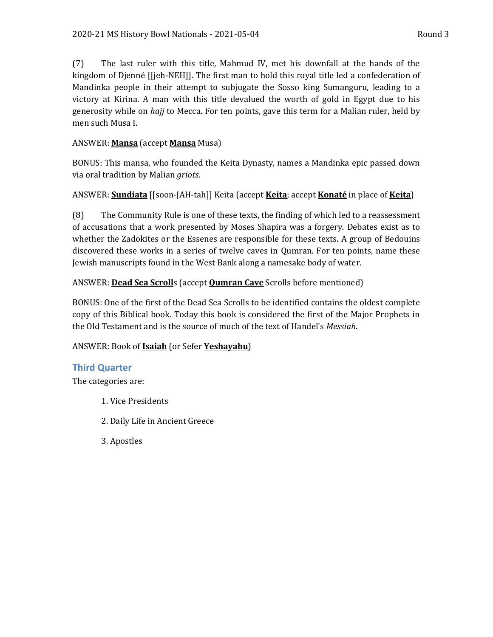(7) The last ruler with this title, Mahmud IV, met his downfall at the hands of the kingdom of Djenné [[jeh-NEH]]. The first man to hold this royal title led a confederation of Mandinka people in their attempt to subjugate the Sosso king Sumanguru, leading to a victory at Kirina. A man with this title devalued the worth of gold in Egypt due to his generosity while on *hajj* to Mecca. For ten points, gave this term for a Malian ruler, held by men such Musa I.

#### ANSWER: **Mansa** (accept **Mansa** Musa)

BONUS: This mansa, who founded the Keita Dynasty, names a Mandinka epic passed down via oral tradition by Malian *griots*.

#### ANSWER: **Sundiata** [[soon-JAH-tah]] Keita (accept **Keita**; accept **Konaté** in place of **Keita**)

(8) The Community Rule is one of these texts, the finding of which led to a reassessment of accusations that a work presented by Moses Shapira was a forgery. Debates exist as to whether the Zadokites or the Essenes are responsible for these texts. A group of Bedouins discovered these works in a series of twelve caves in Qumran. For ten points, name these Jewish manuscripts found in the West Bank along a namesake body of water.

#### ANSWER: **Dead Sea Scroll**s (accept **Qumran Cave** Scrolls before mentioned)

BONUS: One of the first of the Dead Sea Scrolls to be identified contains the oldest complete copy of this Biblical book. Today this book is considered the first of the Major Prophets in the Old Testament and is the source of much of the text of Handel's *Messiah*.

#### ANSWER: Book of **Isaiah** (or Sefer **Yeshayahu**)

#### **Third Quarter**

The categories are:

- 1. Vice Presidents
- 2. Daily Life in Ancient Greece
- 3. Apostles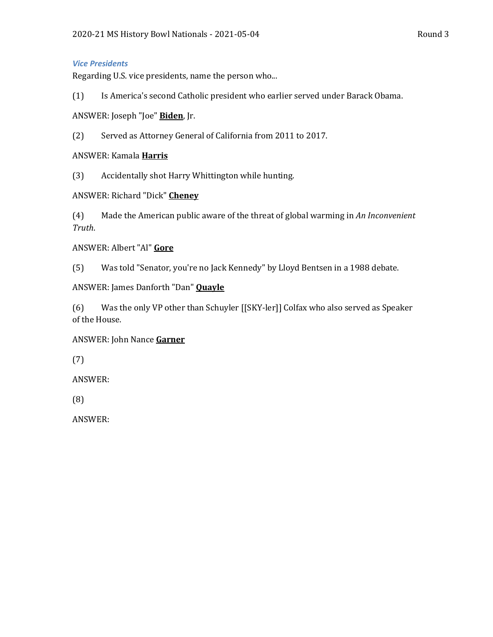#### *Vice Presidents*

Regarding U.S. vice presidents, name the person who...

(1) Is America's second Catholic president who earlier served under Barack Obama.

ANSWER: Joseph "Joe" **Biden**, Jr.

(2) Served as Attorney General of California from 2011 to 2017.

ANSWER: Kamala **Harris**

(3) Accidentally shot Harry Whittington while hunting.

ANSWER: Richard "Dick" **Cheney**

(4) Made the American public aware of the threat of global warming in *An Inconvenient Truth*.

ANSWER: Albert "Al" **Gore**

(5) Was told "Senator, you're no Jack Kennedy" by Lloyd Bentsen in a 1988 debate.

ANSWER: James Danforth "Dan" **Quayle**

(6) Was the only VP other than Schuyler [[SKY-ler]] Colfax who also served as Speaker of the House.

#### ANSWER: John Nance **Garner**

(7)

ANSWER:

(8)

ANSWER: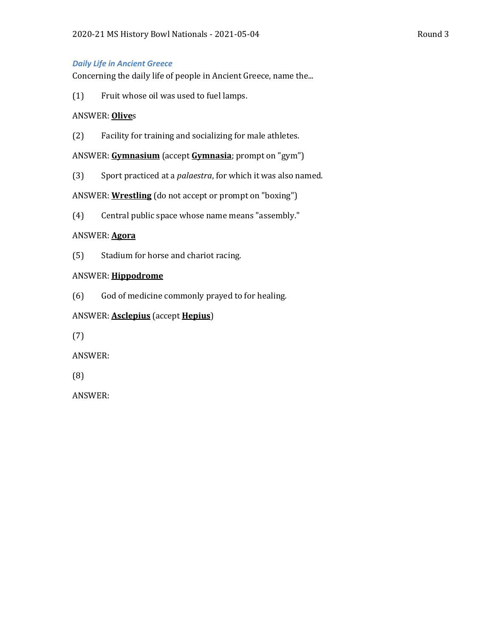#### *Daily Life in Ancient Greece*

Concerning the daily life of people in Ancient Greece, name the...

(1) Fruit whose oil was used to fuel lamps.

#### ANSWER: **Olive**s

(2) Facility for training and socializing for male athletes.

ANSWER: **Gymnasium** (accept **Gymnasia**; prompt on "gym")

(3) Sport practiced at a *palaestra*, for which it was also named.

ANSWER: **Wrestling** (do not accept or prompt on "boxing")

(4) Central public space whose name means "assembly."

#### ANSWER: **Agora**

(5) Stadium for horse and chariot racing.

#### ANSWER: **Hippodrome**

(6) God of medicine commonly prayed to for healing.

#### ANSWER: **Asclepius** (accept **Hepius**)

(7)

ANSWER:

(8)

ANSWER: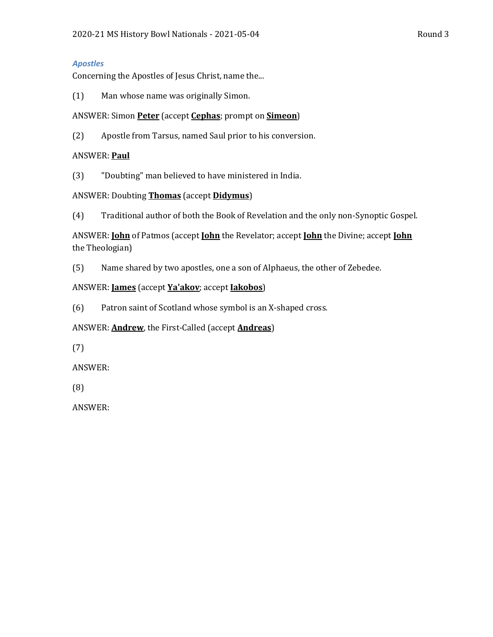# *Apostles*

Concerning the Apostles of Jesus Christ, name the...

(1) Man whose name was originally Simon.

# ANSWER: Simon **Peter** (accept **Cephas**; prompt on **Simeon**)

(2) Apostle from Tarsus, named Saul prior to his conversion.

# ANSWER: **Paul**

(3) "Doubting" man believed to have ministered in India.

# ANSWER: Doubting **Thomas** (accept **Didymus**)

(4) Traditional author of both the Book of Revelation and the only non-Synoptic Gospel.

ANSWER: **John** of Patmos (accept **John** the Revelator; accept **John** the Divine; accept **John** the Theologian)

(5) Name shared by two apostles, one a son of Alphaeus, the other of Zebedee.

# ANSWER: **James** (accept **Ya'akov**; accept **Iakobos**)

(6) Patron saint of Scotland whose symbol is an X-shaped cross.

# ANSWER: **Andrew**, the First-Called (accept **Andreas**)

(7)

ANSWER:

(8)

ANSWER: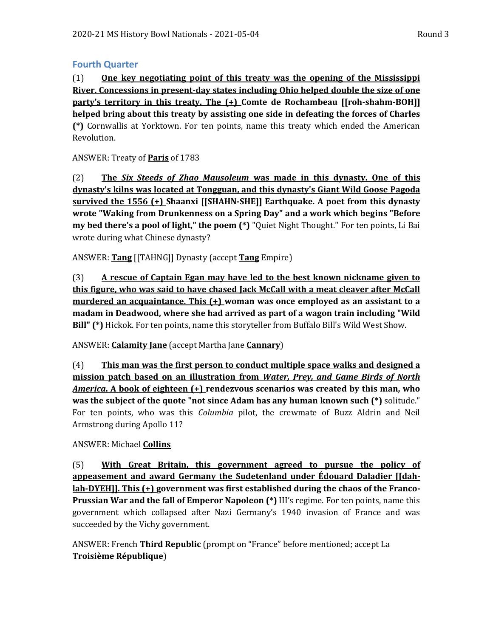#### **Fourth Quarter**

(1) **One key negotiating point of this treaty was the opening of the Mississippi River. Concessions in present-day states including Ohio helped double the size of one party's territory in this treaty. The (+) Comte de Rochambeau [[roh-shahm-BOH]] helped bring about this treaty by assisting one side in defeating the forces of Charles (\*)** Cornwallis at Yorktown. For ten points, name this treaty which ended the American Revolution.

ANSWER: Treaty of **Paris** of 1783

(2) **The** *Six Steeds of Zhao Mausoleum* **was made in this dynasty. One of this dynasty's kilns was located at Tongguan, and this dynasty's Giant Wild Goose Pagoda survived the 1556 (+) Shaanxi [[SHAHN-SHE]] Earthquake. A poet from this dynasty wrote "Waking from Drunkenness on a Spring Day" and a work which begins "Before my bed there's a pool of light," the poem (\*)** "Quiet Night Thought." For ten points, Li Bai wrote during what Chinese dynasty?

ANSWER: **Tang** [[TAHNG]] Dynasty (accept **Tang** Empire)

(3) **A rescue of Captain Egan may have led to the best known nickname given to this figure, who was said to have chased Jack McCall with a meat cleaver after McCall murdered an acquaintance. This (+) woman was once employed as an assistant to a madam in Deadwood, where she had arrived as part of a wagon train including "Wild Bill" (\*)** Hickok. For ten points, name this storyteller from Buffalo Bill's Wild West Show.

ANSWER: **Calamity Jane** (accept Martha Jane **Cannary**)

(4) **This man was the first person to conduct multiple space walks and designed a mission patch based on an illustration from** *Water, Prey, and Game Birds of North America***. A book of eighteen (+) rendezvous scenarios was created by this man, who was the subject of the quote "not since Adam has any human known such (\*)** solitude." For ten points, who was this *Columbia* pilot, the crewmate of Buzz Aldrin and Neil Armstrong during Apollo 11?

#### ANSWER: Michael **Collins**

(5) **With Great Britain, this government agreed to pursue the policy of appeasement and award Germany the Sudetenland under Édouard Daladier [[dahlah-DYEH]]. This (+) government was first established during the chaos of the Franco-Prussian War and the fall of Emperor Napoleon (\*)** III's regime. For ten points, name this government which collapsed after Nazi Germany's 1940 invasion of France and was succeeded by the Vichy government.

ANSWER: French **Third Republic** (prompt on "France" before mentioned; accept La **Troisième République**)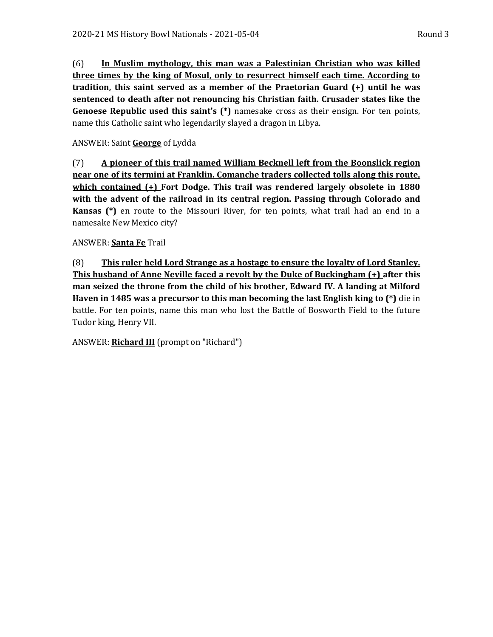(6) **In Muslim mythology, this man was a Palestinian Christian who was killed three times by the king of Mosul, only to resurrect himself each time. According to tradition, this saint served as a member of the Praetorian Guard (+) until he was sentenced to death after not renouncing his Christian faith. Crusader states like the Genoese Republic used this saint's (\*)** namesake cross as their ensign. For ten points, name this Catholic saint who legendarily slayed a dragon in Libya.

#### ANSWER: Saint **George** of Lydda

(7) **A pioneer of this trail named William Becknell left from the Boonslick region near one of its termini at Franklin. Comanche traders collected tolls along this route, which contained (+) Fort Dodge. This trail was rendered largely obsolete in 1880 with the advent of the railroad in its central region. Passing through Colorado and Kansas (\*)** en route to the Missouri River, for ten points, what trail had an end in a namesake New Mexico city?

#### ANSWER: **Santa Fe** Trail

(8) **This ruler held Lord Strange as a hostage to ensure the loyalty of Lord Stanley. This husband of Anne Neville faced a revolt by the Duke of Buckingham (+) after this man seized the throne from the child of his brother, Edward IV. A landing at Milford Haven in 1485 was a precursor to this man becoming the last English king to (\*)** die in battle. For ten points, name this man who lost the Battle of Bosworth Field to the future Tudor king, Henry VII.

ANSWER: **Richard III** (prompt on "Richard")